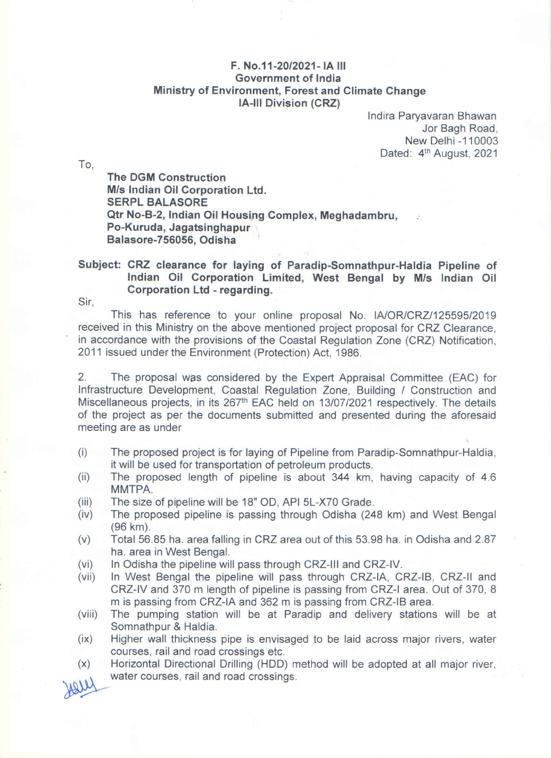## F. No.11-20/2021- IA III Government of India Ministry of Environment, Forest and Climate Change **IA-III Division (CRZ)**

Indira Paryavaran Bhawan Jor Bagh Road, New Delhi -110003 Dated: 4<sup>th</sup> August, 2021

To.

**The DGM Construction** M/s Indian Oil Corporation Ltd. **SERPL BALASORE** Qtr No-B-2, Indian Oil Housing Complex, Meghadambru, Po-Kuruda, Jagatsinghapur Balasore-756056, Odisha

## Subject: CRZ clearance for laying of Paradip-Somnathpur-Haldia Pipeline of Indian Oil Corporation Limited, West Bengal by M/s Indian Oil Corporation Ltd - regarding.

Sir.

This has reference to your online proposal No. IA/OR/CRZ/125595/2019 received in this Ministry on the above mentioned project proposal for CRZ Clearance. in accordance with the provisions of the Coastal Regulation Zone (CRZ) Notification. 2011 issued under the Environment (Protection) Act, 1986.

 $2.$ The proposal was considered by the Expert Appraisal Committee (EAC) for Infrastructure Development, Coastal Regulation Zone, Building / Construction and Miscellaneous projects, in its 267<sup>th</sup> EAC held on 13/07/2021 respectively. The details of the project as per the documents submitted and presented during the aforesaid meeting are as under

- The proposed project is for laying of Pipeline from Paradip-Somnathpur-Haldia,  $(i)$ it will be used for transportation of petroleum products.
- The proposed length of pipeline is about 344 km, having capacity of 4.6  $(ii)$ MMTPA.
- $(iii)$ The size of pipeline will be 18" OD, API 5L-X70 Grade.
- The proposed pipeline is passing through Odisha (248 km) and West Bengal  $(iv)$ (96 km).
- $(v)$ Total 56.85 ha. area falling in CRZ area out of this 53.98 ha. in Odisha and 2.87 ha. area in West Bengal.
- $(vi)$ In Odisha the pipeline will pass through CRZ-III and CRZ-IV.
- In West Bengal the pipeline will pass through CRZ-IA, CRZ-IB, CRZ-II and  $(vii)$ CRZ-IV and 370 m length of pipeline is passing from CRZ-I area. Out of 370, 8 m is passing from CRZ-IA and 362 m is passing from CRZ-IB area.
- The pumping station will be at Paradip and delivery stations will be at  $(viii)$ Somnathpur & Haldia.
- Higher wall thickness pipe is envisaged to be laid across major rivers, water  $(ix)$ courses, rail and road crossings etc.
- Horizontal Directional Drilling (HDD) method will be adopted at all major river,  $(\mathsf{x})$ water courses, rail and road crossings.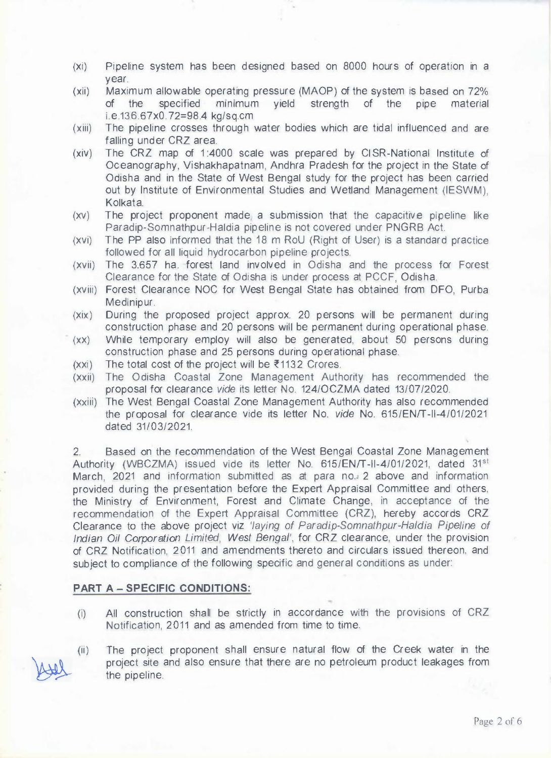- (xi) Pipeline system has been designed based on 8000 hours of operation in a year.
- (xii) Maximum allowable operating pressure (MAOP) of the system is based on 72% of the specified minimum yield strength of the pipe material i.e.136.67x0. 72=98.4 kg/sq.cm
- (xiii) The pipeline crosses through water bodies which are tidal influenced and are falling under CRZ area.
- (xiv) The CRZ map of 1:4000 scale was prepared by CISR-National Institute of Oceanography, Vishakhapatnam, Andhra Pradesh for the project in the State of Odisha and in the State of West Bengal study for the project has been carried out by Institute of Environmental Studies and Wetland Management (IESWM), Kolkata.
- (xv) The project proponent made. a submission that the capacitive pipeline like Paradip-Somnathpur-Haldia pipeline is not covered under PNGRB Act.
- (xvi) The PP also informed that the 18 m RoU (Right of User) is a standard practice followed for all liquid hydrocarbon pipeline projects.
- (xvii) The 3.657 ha. forest land involved in Odisha and the process for Forest Clearance for the State of Odisha is under process at PCCF, Odisha.
- (xviii) Forest Clearance NOC for West Bengal State has obtained from DFO, Purba Medinipur.
- (xix) During the proposed project approx. 20 persons will be permanent during construction phase and 20 persons will be permanent during operational phase.
- (xx) While temporary employ will also be generated, about 50 persons during construction phase and 25 persons during operational phase.
- $(xxi)$  The total cost of the project will be  $\overline{\epsilon}$ 1132 Crores.
- (xxii) The Odisha Coastal Zone Management Authority has recommended the proposal for clearance *vide* its letter No. 124/0CZMA dated 13/07/2020.
- (xxiii) The West Bengal Coastal Zone Management Authority has also recommended the proposal for clearance vide its letter No. *vide* No. 615/EN/T-11-4/01/2021 dated 31/03/2021.

2. Based on the recommendation of the West Bengal Coastal Zone Management Authority (WBCZMA) issued vide its letter No. 615/EN/T-II-4/01/2021, dated 31<sup>st</sup> March, 2021 and information submitted as at para no. 2 above and information provided during the presentation before the Expert Appraisal Committee and others, the Ministry of Environment, Forest and Climate Change, in acceptance of the recommendation of the Expert Appraisal Committee (CRZ), hereby accords CRZ Clearance to the above project viz *'laying of Paradip-Somnathpur-Haldia Pipeline of Indian Oil Corporation Limited, West Bengal',* for CRZ clearance, under the provision of CRZ Notification, 2011 and amendments thereto and circulars issued thereon, and subject to compliance of the following specific and general conditions as under:

## **PART A - SPECIFIC CONDITIONS:**

- (i) All construction shall be strictly in accordance with the provisions of CRZ Notification, 2011 and as amended from time to time.
- (ii) o The project proponent shall ensure natural flow of the Creek water in the project site and also ensure that there are no petroleum product leakages from the pipeline.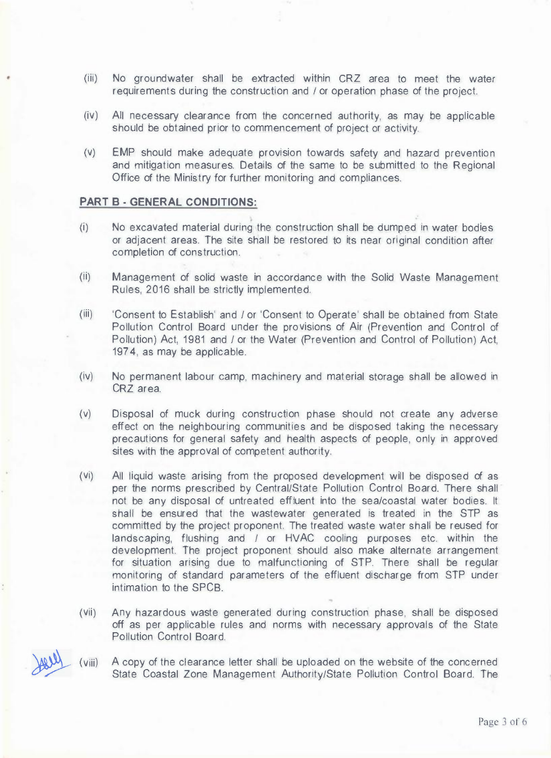- (iii) No groundwater shall be extracted within CRZ area to meet the water requirements during the construction and *I* or operation phase of the project.
- (iv) All necessary clearance from the concerned authority, as may be applicable should be obtained prior to commencement of project or activity.
- (v) EMP should make adequate provision towards safety and hazard prevention and mitigation measures. Details of the same to be submitted to the Regional Office of the Ministry for further monitoring and compliances.

## **PART B - GENERAL CONDITIONS:**

- (i) No excavated material during the construction shall be dumped in water bodies or adjacent areas. The site shall be restored to its near original condition after completion of construction.
- (ii) Management of solid waste in accordance with the Solid Waste Management Rules, 2016 shall be strictly implemented.
- (iii) 'Consent to Establish' and *I* or 'Consent to Operate' shall be obtained from State Pollution Control Board under the provisions of Air (Prevention and Control of Pollution) Act, 1981 and *I* or the Water (Prevention and Control of Pollution) Act, 1974, as may be applicable.
- $(iv)$ No permanent labour camp, machinery and material storage shall be allowed in CRZ area.
- (v) Disposal of muck during construction phase should not create any adverse effect on the neighbouring communities and be disposed taking the necessary precautions for general safety and health aspects of people, only in approved sites with the approval of competent authority.
- $(V<sub>i</sub>)$ All liquid waste arising from the proposed development will be disposed of as per the norms prescribed by Central/State Pollution Control Board. There shall not be any disposal of untreated effluent into the sea/coastal water bodies. It shall be ensured that the wastewater generated is treated in the STP as committed by the project proponent. The treated waste water shall be reused for landscaping, flushing and *I* or HVAC cooling purposes etc. within the development. The project proponent should also make alternate arrangement for situation arising due to malfunctioning of STP. There shall be regular monitoring of standard parameters of the effluent discharge from STP under intimation to the SPCB.
- $(Vii)$ Any hazardous waste generated during construction phase, shall be disposed off as per applicable rules and norms with necessary approvals of the State **Pollution Control Board.**

» (viii)

A copy of the clearance letter shall be uploaded on the website of the concerned State Coastal Zone Management Authority/State Pollution Control Board. The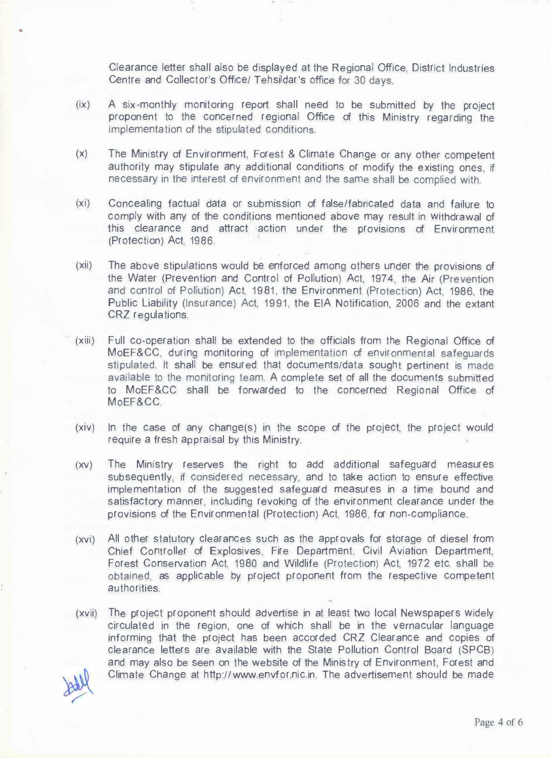Clearance letter shall also be displayed at the Regional Office, District Industries Centre and Collector's Office/ Tehsildar's office for 30 days.

- $(ix)$ A six-monthly monitoring report shall need to be submitted by the project proponent to the concerned regional Office of this Ministry regarding the implementation of the stipulated conditions.
- $(x)$ The Ministry of Environment, Forest & Climate Change or any other competent authority may stipulate any additional conditions or modify the existing ones, if necessary in the interest of environment and the same shall be complied with.
- $(xi)$ Concealing factual data or submission of false/fabricated data and failure to comply with any of the conditions mentioned above may result in Withdrawal of this clearance and attract action under the provisions of Environment (Protection) Act, 1986.
- $(xii)$ The above stipulations would be enforced among others under the provisions of the Water (Prevention and Control of Pollution) Act, 1974, the Air (Prevention and control of Pollution) Act, 1981, the Environment (Protection) Act, 1986, the Public Liability (Insurance) Act, 1991, the EIA Notification, 2006 and the extant CRZ regulations.
- $(xiii)$ Full co-operation shall be extended to the officials from the Regional Office of MoEF&CC, during monitoring of implementation of environmental safeguards stipulated. It shall be ensured that documents/data sought pertinent is made available to the monitoring team. A complete set of all the documents submitted to MoEF&CC shall be forwarded to the concerned Regional Office of MoEF&CC.
- (xiv) In the case of any change(s) in the scope of the project, the project would require a fresh appraisal by this Ministry.
- $(XV)$ The Ministry reserves the right to add additional safeguard measures subsequently, if considered necessary, and to take action to ensure effective implementation of the suggested safeguard measures in a time bound and satisfactory manner, including revoking of the environment clearance under the provisions of the Environmental (Protection) Act, 1986, for non-compliance.
- (xvi) All other statutory clearances such as the approvals for storage of diesel from Chief Controller of Explosives, Fire Department, Civil Aviation Department, Forest Conservation Act, 1980 and Wildlife (Protection) Act, 1972 etc. shall be obtained, as applicable by project proponent from the respective competent authorities.
- (xvii) The project proponent should advertise in at least two local Newspapers widely circulated in the region, one of which shall be in the vernacular language informing that the project has been accorded CRZ Clearance and copies of clearance letters are available with the State Pollution Control Board (SPCB) and may also be seen on the website of the Ministry of Environment, Forest and Climate Change at http://www.envfor.nic.in. The advertisement should be made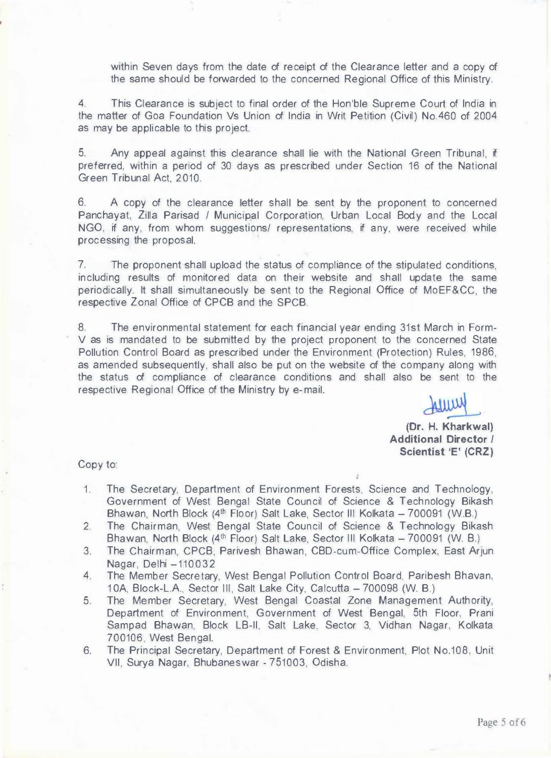within Seven days from the date of receipt of the Clearance letter and a copy of the same should be forwarded to the concerned Regional Office of this Ministry.

4. This Clearance is subject to final order of the Hon'ble Supreme Court of India in the matter of Goa Foundation Vs Union of India in Writ Petition (Civil) No.460 of 2004 as may be applicable to this project.

5. Any appeal against this clearance shall lie with the National Green Tribunal, if preferred, within a period of 30 days as prescribed under Section 16 of the National Green Tribunal Act, 2010.

6. A copy of the clearance letter shall be sent by the proponent to concerned Panchayat, Zilla Parisad *I* Municipal Corporation, Urban Local Body and the Local NGO, if any, from whom suggestions/ representations, if any, were received while processing the proposal.

7. The proponent shall upload the status of compliance of the stipulated conditions, including results of monitored data on their website and shall update the same periodically. It shall simultaneously be sent to the Regional Office of MoEF&CC, the respective Zonal Office of CPCB and the SPCB.

8. The environmental statement for each financial year ending 31st March in Form-V as is mandated to be submitted by the project proponent to the concerned State Pollution Control Board as prescribed under the Environment (Protection) Rules, 1986, as amended subsequently, shall also be put on the website of the company along with the status of compliance of clearance conditions and shall also be sent to the respective Regional Office of the Ministry by e-mail.

WITH

**(Dr. H. Kharkwal) Additional Director** *I*  **Scientist 'E' (CRZ)** 

Copy to:

- 1. The Secretary, Department of Environment Forests, Science and Technology, Government of West Bengal State Council of Science & Technology Bikash Bhawan, North Block (4<sup>th</sup> Floor) Salt Lake, Sector III Kolkata - 700091 (W.B.)
- 2. The Chairman, West Bengal State Council of Science & Technology Bikash Bhawan, North Block ( $4<sup>th</sup>$  Floor) Salt Lake, Sector III Kolkata - 700091 (W. B.)
- 3. The Chairman, CPCB, Parivesh Bhawan, CBD-cum-Office Complex, East Arjun Nagar, Delhi -110032
- 4. The Member Secretary, West Bengal Pollution Control Board, Paribesh Bhavan, 10A, Block-L.A., Sector III, Salt Lake City, Calcutta - 700098 (W. B.)
- 5. The Member Secretary, West Bengal Coastal Zone Management Authority, Department of Environment, Government of West Bengal, 5th Floor, Prani Sampad Bhawan, Block LB-II, Salt Lake, Sector 3, Vidhan Nagar, Kolkata 700106, West Bengal.
- 6. The Principal Secretary, Department of Forest & Environment, Plot No.108, Unit VII, Surya Nagar, Bhubaneswar - 751003, Odisha.